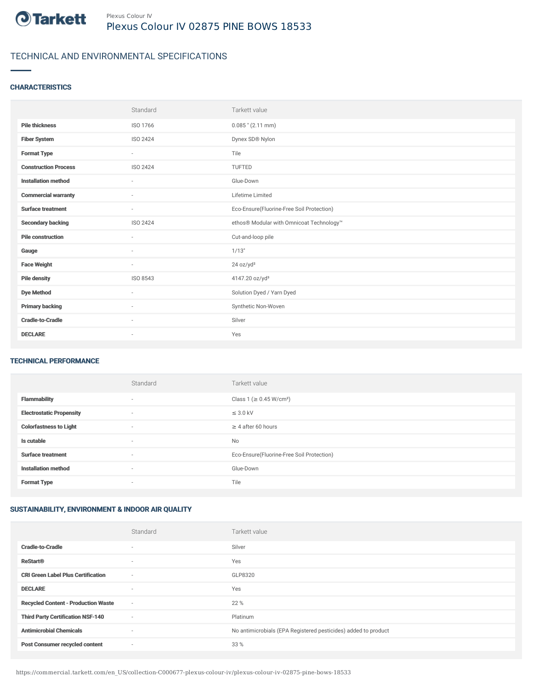

# TECHNICAL AND ENVIRONMENTAL SPECIFICATIONS

### **CHARACTERISTICS**

|                             | Standard                 | Tarkett value                             |
|-----------------------------|--------------------------|-------------------------------------------|
| <b>Pile thickness</b>       | ISO 1766                 | $0.085$ " (2.11 mm)                       |
| <b>Fiber System</b>         | ISO 2424                 | Dynex SD® Nylon                           |
| <b>Format Type</b>          | $\sim$                   | Tile                                      |
| <b>Construction Process</b> | ISO 2424                 | TUFTED                                    |
| <b>Installation method</b>  | $\overline{\phantom{a}}$ | Glue-Down                                 |
| <b>Commercial warranty</b>  | $\sim$                   | Lifetime Limited                          |
| <b>Surface treatment</b>    | $\sim$                   | Eco-Ensure(Fluorine-Free Soil Protection) |
| <b>Secondary backing</b>    | ISO 2424                 | ethos® Modular with Omnicoat Technology™  |
| <b>Pile construction</b>    | $\overline{\phantom{a}}$ | Cut-and-loop pile                         |
| Gauge                       | ٠                        | 1/13"                                     |
| <b>Face Weight</b>          | $\overline{\phantom{a}}$ | 24 oz/yd <sup>2</sup>                     |
| <b>Pile density</b>         | ISO 8543                 | 4147.20 oz/yd <sup>3</sup>                |
| <b>Dye Method</b>           | ٠                        | Solution Dyed / Yarn Dyed                 |
| <b>Primary backing</b>      | $\overline{\phantom{a}}$ | Synthetic Non-Woven                       |
| <b>Cradle-to-Cradle</b>     | $\sim$                   | Silver                                    |
| <b>DECLARE</b>              | ٠                        | Yes                                       |

#### TECHNICAL PERFORMANCE

|                                 | Standard | Tarkett value                             |
|---------------------------------|----------|-------------------------------------------|
| <b>Flammability</b>             | $\sim$   | Class 1 (≥ 0.45 W/cm <sup>2</sup> )       |
| <b>Electrostatic Propensity</b> | ٠        | $\leq$ 3.0 kV                             |
| <b>Colorfastness to Light</b>   | $\sim$   | $\geq$ 4 after 60 hours                   |
| Is cutable                      | ٠        | No                                        |
| <b>Surface treatment</b>        | ٠        | Eco-Ensure(Fluorine-Free Soil Protection) |
| <b>Installation method</b>      | $\sim$   | Glue-Down                                 |
| <b>Format Type</b>              | ٠        | Tile                                      |

## SUSTAINABILITY, ENVIRONMENT & INDOOR AIR QUALITY

|                                            | Standard                 | Tarkett value                                                  |
|--------------------------------------------|--------------------------|----------------------------------------------------------------|
| <b>Cradle-to-Cradle</b>                    | $\overline{\phantom{a}}$ | Silver                                                         |
| <b>ReStart®</b>                            | $\overline{\phantom{a}}$ | Yes                                                            |
| <b>CRI Green Label Plus Certification</b>  | $\sim$                   | GLP8320                                                        |
| <b>DECLARE</b>                             | $\overline{\phantom{a}}$ | Yes                                                            |
| <b>Recycled Content - Production Waste</b> | $\sim$                   | 22 %                                                           |
| <b>Third Party Certification NSF-140</b>   | $\sim$                   | Platinum                                                       |
| <b>Antimicrobial Chemicals</b>             | $\overline{\phantom{a}}$ | No antimicrobials (EPA Registered pesticides) added to product |
| <b>Post Consumer recycled content</b>      | $\sim$                   | 33 %                                                           |